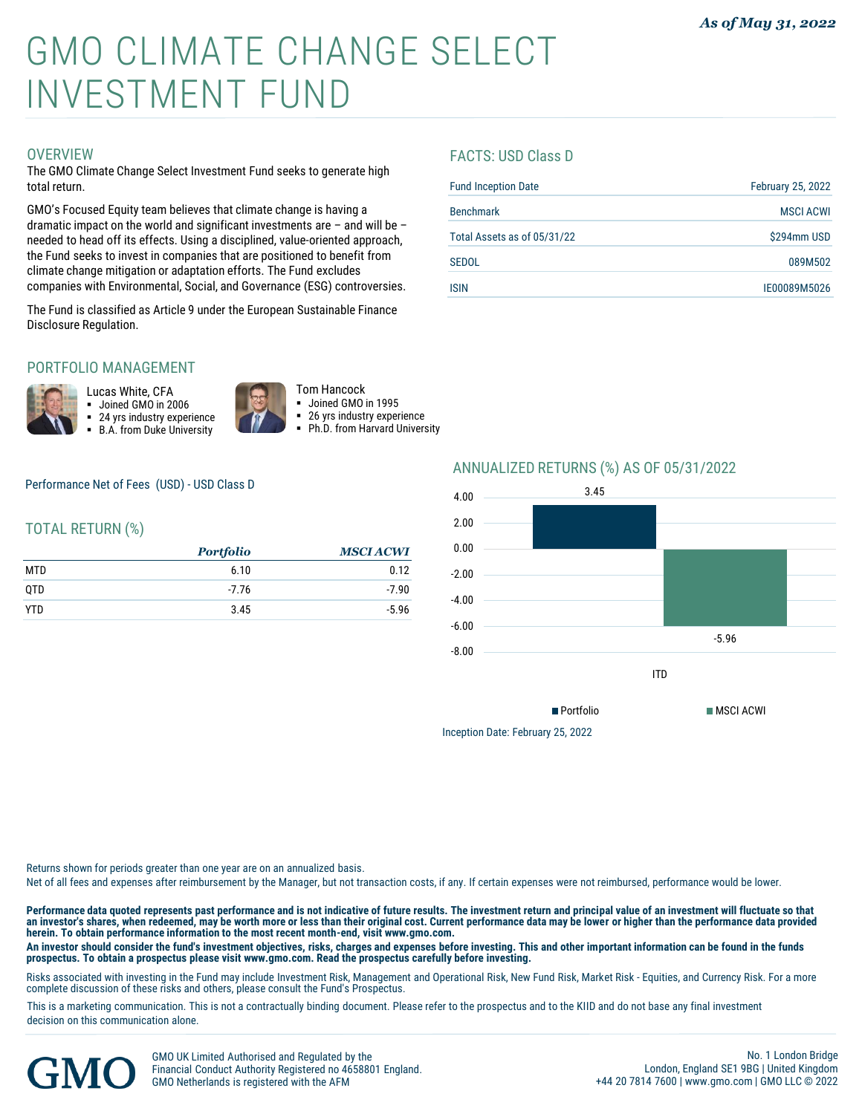# GMO CLIMATE CHANGE SELECT INVESTMENT FUND

#### **OVERVIEW**

The GMO Climate Change Select Investment Fund seeks to generate high total return.

GMO's Focused Equity team believes that climate change is having a dramatic impact on the world and significant investments are – and will be – needed to head off its effects. Using a disciplined, value-oriented approach, the Fund seeks to invest in companies that are positioned to benefit from climate change mitigation or adaptation efforts. The Fund excludes companies with Environmental, Social, and Governance (ESG) controversies.

The Fund is classified as Article 9 under the European Sustainable Finance Disclosure Regulation.

## PORTFOLIO MANAGEMENT



Lucas White, CFA ▪ Joined GMO in 2006 24 yrs industry experience **B.A. from Duke University** 





26 yrs industry experience Ph.D. from Harvard University

Performance Net of Fees (USD) - USD Class D

## TOTAL RETURN (%)

|            | <b>Portfolio</b> | <b>MSCI ACWI</b> |
|------------|------------------|------------------|
| MTD        | 6.10             | 0.12             |
| QTD        | $-7.76$          | $-7.90$          |
| <b>YTD</b> | 3.45             | $-5.96$          |

#### FACTS: USD Class D

| <b>Fund Inception Date</b>  | <b>February 25, 2022</b> |
|-----------------------------|--------------------------|
| <b>Benchmark</b>            | <b>MSCI ACWI</b>         |
| Total Assets as of 05/31/22 | \$294mm USD              |
| <b>SEDOL</b>                | 089M502                  |
| <b>ISIN</b>                 | IE00089M5026             |
|                             |                          |

## ANNUALIZED RETURNS (%) AS OF 05/31/2022



Inception Date: February 25, 2022

Returns shown for periods greater than one year are on an annualized basis.

Net of all fees and expenses after reimbursement by the Manager, but not transaction costs, if any. If certain expenses were not reimbursed, performance would be lower.

**Performance data quoted represents past performance and is not indicative of future results. The investment return and principal value of an investment will fluctuate so that**  an investor's shares, when redeemed, may be worth more or less than their original cost. Current performance data may be lower or higher than the performance data provided<br>herein. To obtain performance information to the m

An investor should consider the fund's investment objectives, risks, charges and expenses before investing. This and other important information can be found in the funds<br>prospectus. To obtain a prospectus please visit www

Risks associated with investing in the Fund may include Investment Risk, Management and Operational Risk, New Fund Risk, Market Risk - Equities, and Currency Risk. For a more complete discussion of these risks and others, please consult the Fund's Prospectus.

This is a marketing communication. This is not a contractually binding document. Please refer to the prospectus and to the KIID and do not base any final investment decision on this communication alone.



GMO UK Limited Authorised and Regulated by the Financial Conduct Authority Registered no 4658801 England. GMO Netherlands is registered with the AFM